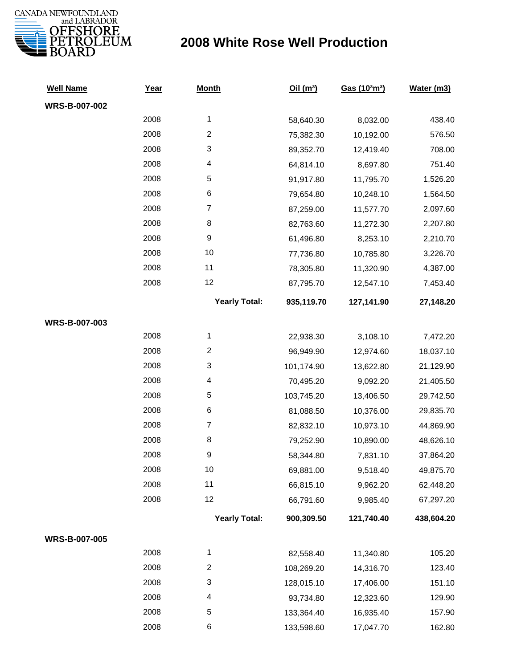

## **2008 White Rose Well Production**

| <b>Well Name</b> | Year | <b>Month</b>            | Oil(m <sup>3</sup> ) | Gas (103m3) | Water (m3) |
|------------------|------|-------------------------|----------------------|-------------|------------|
| WRS-B-007-002    |      |                         |                      |             |            |
|                  | 2008 | 1                       | 58,640.30            | 8,032.00    | 438.40     |
|                  | 2008 | $\overline{c}$          | 75,382.30            | 10,192.00   | 576.50     |
|                  | 2008 | 3                       | 89,352.70            | 12,419.40   | 708.00     |
|                  | 2008 | 4                       | 64,814.10            | 8,697.80    | 751.40     |
|                  | 2008 | 5                       | 91,917.80            | 11,795.70   | 1,526.20   |
|                  | 2008 | 6                       | 79,654.80            | 10,248.10   | 1,564.50   |
|                  | 2008 | $\boldsymbol{7}$        | 87,259.00            | 11,577.70   | 2,097.60   |
|                  | 2008 | 8                       | 82,763.60            | 11,272.30   | 2,207.80   |
|                  | 2008 | 9                       | 61,496.80            | 8,253.10    | 2,210.70   |
|                  | 2008 | 10                      | 77,736.80            | 10,785.80   | 3,226.70   |
|                  | 2008 | 11                      | 78,305.80            | 11,320.90   | 4,387.00   |
|                  | 2008 | 12                      | 87,795.70            | 12,547.10   | 7,453.40   |
|                  |      | <b>Yearly Total:</b>    | 935,119.70           | 127,141.90  | 27,148.20  |
| WRS-B-007-003    |      |                         |                      |             |            |
|                  | 2008 | 1                       | 22,938.30            | 3,108.10    | 7,472.20   |
|                  | 2008 | $\overline{\mathbf{c}}$ | 96,949.90            | 12,974.60   | 18,037.10  |
|                  | 2008 | 3                       | 101,174.90           | 13,622.80   | 21,129.90  |
|                  | 2008 | 4                       | 70,495.20            | 9,092.20    | 21,405.50  |
|                  | 2008 | 5                       | 103,745.20           | 13,406.50   | 29,742.50  |
|                  | 2008 | 6                       | 81,088.50            | 10,376.00   | 29,835.70  |
|                  | 2008 | $\boldsymbol{7}$        | 82,832.10            | 10,973.10   | 44,869.90  |
|                  | 2008 | 8                       | 79,252.90            | 10,890.00   | 48,626.10  |
|                  | 2008 | 9                       | 58,344.80            | 7,831.10    | 37,864.20  |
|                  | 2008 | 10                      | 69,881.00            | 9,518.40    | 49,875.70  |
|                  | 2008 | 11                      | 66,815.10            | 9,962.20    | 62,448.20  |
|                  | 2008 | 12                      | 66,791.60            | 9,985.40    | 67,297.20  |
|                  |      | <b>Yearly Total:</b>    | 900,309.50           | 121,740.40  | 438,604.20 |
| WRS-B-007-005    |      |                         |                      |             |            |
|                  | 2008 | 1                       | 82,558.40            | 11,340.80   | 105.20     |
|                  | 2008 | $\overline{c}$          | 108,269.20           | 14,316.70   | 123.40     |
|                  | 2008 | 3                       | 128,015.10           | 17,406.00   | 151.10     |
|                  | 2008 | 4                       | 93,734.80            | 12,323.60   | 129.90     |
|                  | 2008 | 5                       | 133,364.40           | 16,935.40   | 157.90     |
|                  | 2008 | 6                       | 133,598.60           | 17,047.70   | 162.80     |
|                  |      |                         |                      |             |            |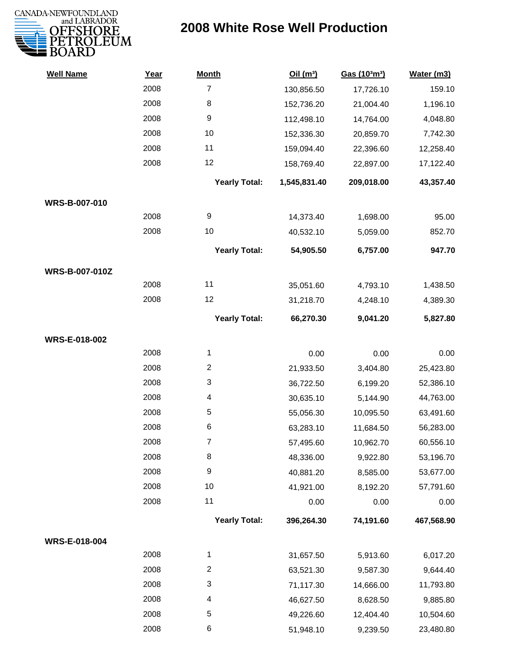

## **2008 White Rose Well Production**

| <b>Well Name</b>      | Year | <b>Month</b>         | Oil(m <sup>3</sup> ) | Gas (103m3) | Water (m3) |
|-----------------------|------|----------------------|----------------------|-------------|------------|
|                       | 2008 | $\overline{7}$       | 130,856.50           | 17,726.10   | 159.10     |
|                       | 2008 | 8                    | 152,736.20           | 21,004.40   | 1,196.10   |
|                       | 2008 | 9                    | 112,498.10           | 14,764.00   | 4,048.80   |
|                       | 2008 | 10                   | 152,336.30           | 20,859.70   | 7,742.30   |
|                       | 2008 | 11                   | 159,094.40           | 22,396.60   | 12,258.40  |
|                       | 2008 | 12                   | 158,769.40           | 22,897.00   | 17,122.40  |
|                       |      | <b>Yearly Total:</b> | 1,545,831.40         | 209,018.00  | 43,357.40  |
| WRS-B-007-010         |      |                      |                      |             |            |
|                       | 2008 | 9                    | 14,373.40            | 1,698.00    | 95.00      |
|                       | 2008 | 10                   | 40,532.10            | 5,059.00    | 852.70     |
|                       |      | <b>Yearly Total:</b> | 54,905.50            | 6,757.00    | 947.70     |
| <b>WRS-B-007-010Z</b> |      |                      |                      |             |            |
|                       | 2008 | 11                   | 35,051.60            | 4,793.10    | 1,438.50   |
|                       | 2008 | 12                   | 31,218.70            | 4,248.10    | 4,389.30   |
|                       |      | <b>Yearly Total:</b> | 66,270.30            | 9,041.20    | 5,827.80   |
| <b>WRS-E-018-002</b>  |      |                      |                      |             |            |
|                       | 2008 | $\mathbf{1}$         | 0.00                 | 0.00        | 0.00       |
|                       | 2008 | $\overline{c}$       | 21,933.50            | 3,404.80    | 25,423.80  |
|                       | 2008 | 3                    | 36,722.50            | 6,199.20    | 52,386.10  |
|                       | 2008 | 4                    | 30,635.10            | 5,144.90    | 44,763.00  |
|                       | 2008 | 5                    | 55,056.30            | 10,095.50   | 63,491.60  |
|                       | 2008 | 6                    | 63,283.10            | 11,684.50   | 56,283.00  |
|                       | 2008 | $\overline{7}$       | 57,495.60            | 10,962.70   | 60,556.10  |
|                       | 2008 | 8                    | 48,336.00            | 9,922.80    | 53,196.70  |
|                       | 2008 | 9                    | 40,881.20            | 8,585.00    | 53,677.00  |
|                       | 2008 | 10                   | 41,921.00            | 8,192.20    | 57,791.60  |
|                       | 2008 | 11                   | 0.00                 | 0.00        | 0.00       |
|                       |      | <b>Yearly Total:</b> | 396,264.30           | 74,191.60   | 467,568.90 |
| WRS-E-018-004         |      |                      |                      |             |            |
|                       | 2008 | $\mathbf{1}$         | 31,657.50            | 5,913.60    | 6,017.20   |
|                       | 2008 | $\overline{c}$       | 63,521.30            | 9,587.30    | 9,644.40   |
|                       | 2008 | 3                    | 71,117.30            | 14,666.00   | 11,793.80  |
|                       | 2008 | 4                    | 46,627.50            | 8,628.50    | 9,885.80   |
|                       | 2008 | 5                    | 49,226.60            | 12,404.40   | 10,504.60  |
|                       | 2008 | 6                    | 51,948.10            | 9,239.50    | 23,480.80  |